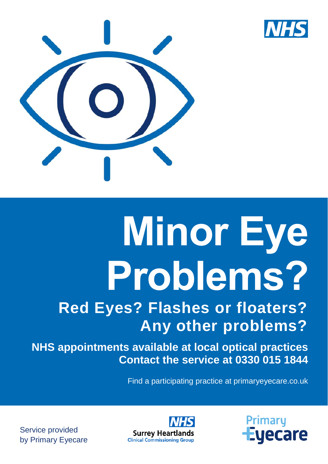



# **Minor Eye Problems?**

# **Red Eyes? Flashes or floaters? Any other problems?**

**NHS appointments available at local optical practices Contact the service at 0330 015 1844**

Find a participating practice at primaryeyecare.co.uk

**Primary Eyecare** 



Service provided by Primary Eyecare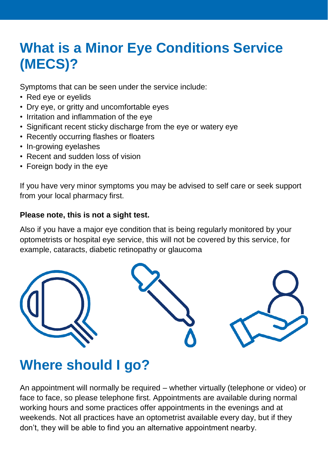# **What is a Minor Eye Conditions Service (MECS)?**

Symptoms that can be seen under the service include:

- Red eye or eyelids
- Dry eye, or gritty and uncomfortable eyes
- Irritation and inflammation of the eye
- Significant recent sticky discharge from the eye or watery eye
- Recently occurring flashes or floaters
- In-growing eyelashes
- Recent and sudden loss of vision
- Foreign body in the eye

If you have very minor symptoms you may be advised to self care or seek support from your local pharmacy first.

## **Please note, this is not a sight test.**

Also if you have a major eye condition that is being regularly monitored by your optometrists or hospital eye service, this will not be covered by this service, for example, cataracts, diabetic retinopathy or glaucoma



## **Where should I go?**

An appointment will normally be required – whether virtually (telephone or video) or face to face, so please telephone first. Appointments are available during normal working hours and some practices offer appointments in the evenings and at weekends. Not all practices have an optometrist available every day, but if they don't, they will be able to find you an alternative appointment nearby.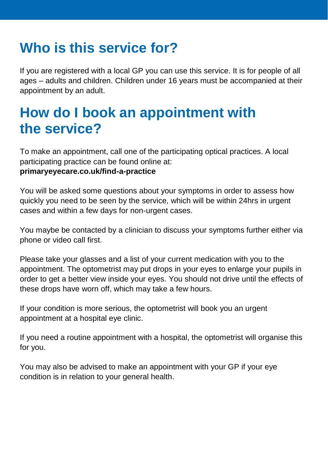# **Who is this service for?**

If you are registered with a local GP you can use this service. It is for people of all ages – adults and children. Children under 16 years must be accompanied at their appointment by an adult.

## **How do I book an appointment with the service?**

To make an appointment, call one of the participating optical practices. A local participating practice can be found online at:

## **primaryeyecare.co.uk/find-a-practice**

You will be asked some questions about your symptoms in order to assess how quickly you need to be seen by the service, which will be within 24hrs in urgent cases and within a few days for non-urgent cases.

You maybe be contacted by a clinician to discuss your symptoms further either via phone or video call first.

Please take your glasses and a list of your current medication with you to the appointment. The optometrist may put drops in your eyes to enlarge your pupils in order to get a better view inside your eyes. You should not drive until the effects of these drops have worn off, which may take a few hours.

If your condition is more serious, the optometrist will book you an urgent appointment at a hospital eye clinic.

If you need a routine appointment with a hospital, the optometrist will organise this for you.

You may also be advised to make an appointment with your GP if your eye condition is in relation to your general health.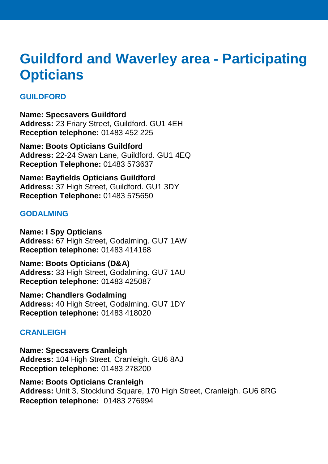## **Guildford and Waverley area - Participating Opticians**

## **GUILDFORD**

**Name: Specsavers Guildford Address:** 23 Friary Street, Guildford. GU1 4EH **Reception telephone:** 01483 452 225

**Name: Boots Opticians Guildford Address:** 22-24 Swan Lane, Guildford. GU1 4EQ **Reception Telephone:** 01483 573637

**Name: Bayfields Opticians Guildford Address:** 37 High Street, Guildford. GU1 3DY **Reception Telephone:** 01483 575650

#### **GODALMING**

**Name: I Spy Opticians Address:** 67 High Street, Godalming. GU7 1AW **Reception telephone:** 01483 414168

**Name: Boots Opticians (D&A) Address:** 33 High Street, Godalming. GU7 1AU **Reception telephone:** 01483 425087

**Name: Chandlers Godalming Address:** 40 High Street, Godalming. GU7 1DY **Reception telephone:** 01483 418020

## **CRANLEIGH**

**Name: Specsavers Cranleigh Address:** 104 High Street, Cranleigh. GU6 8AJ **Reception telephone:** 01483 278200

**Name: Boots Opticians Cranleigh Address:** Unit 3, Stocklund Square, 170 High Street, Cranleigh. GU6 8RG **Reception telephone:** 01483 276994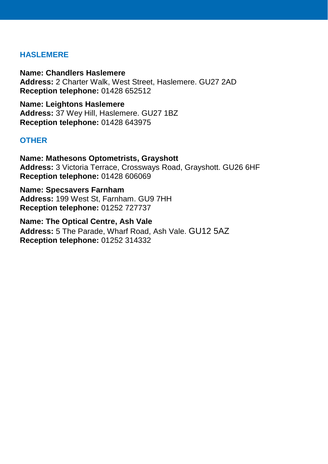#### **HASLEMERE**

**Name: Chandlers Haslemere Address:** 2 Charter Walk, West Street, Haslemere. GU27 2AD **Reception telephone:** 01428 652512

**Name: Leightons Haslemere Address:** 37 Wey Hill, Haslemere. GU27 1BZ **Reception telephone:** 01428 643975

#### **OTHER**

**Name: Mathesons Optometrists, Grayshott Address:** 3 Victoria Terrace, Crossways Road, Grayshott. GU26 6HF **Reception telephone:** 01428 606069

**Name: Specsavers Farnham Address:** 199 West St, Farnham. GU9 7HH **Reception telephone:** 01252 727737

**Name: The Optical Centre, Ash Vale Address:** 5 The Parade, Wharf Road, Ash Vale. GU12 5AZ **Reception telephone:** 01252 314332